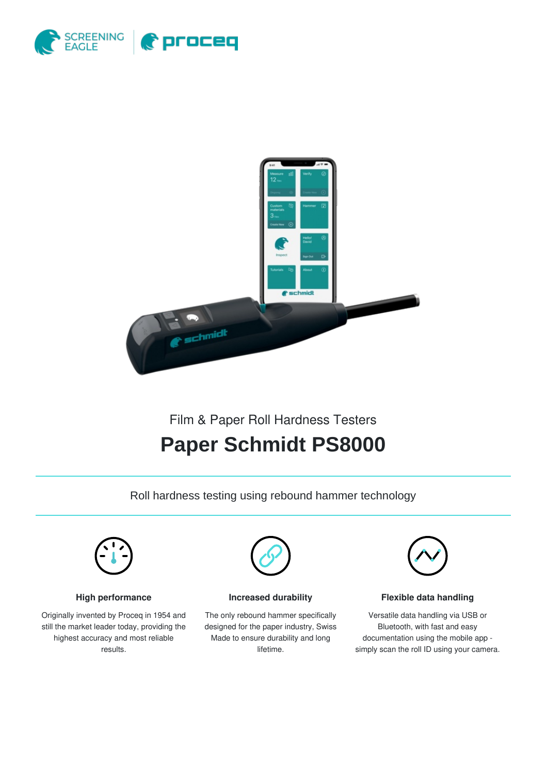



## Film & Paper Roll Hardness Testers

# **Paper Schmidt PS8000**

Roll hardness testing using rebound hammer technology



### **High performance**

Originally invented by Proceq in 1954 and still the market leader today, providing the highest accuracy and most reliable results.



**Increased durability**

The only rebound hammer specifically designed for the paper industry, Swiss Made to ensure durability and long lifetime.



#### **Flexible data handling**

Versatile data handling via USB or Bluetooth, with fast and easy documentation using the mobile app simply scan the roll ID using your camera.